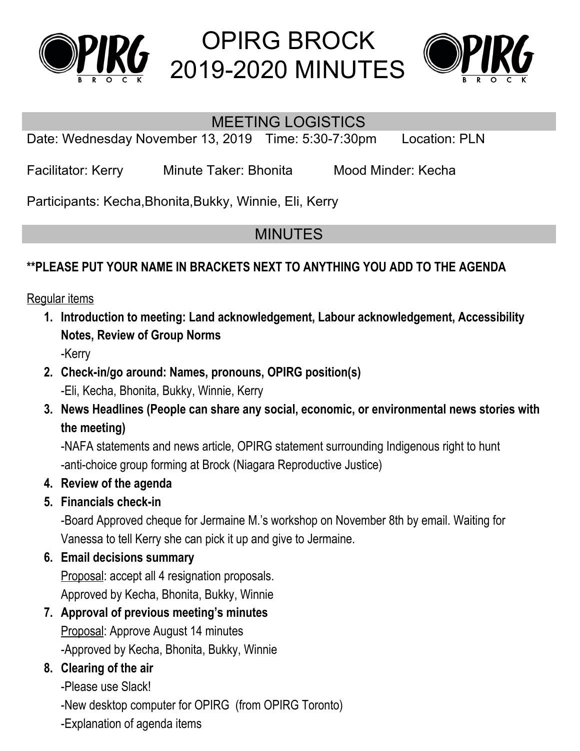



### MEETING LOGISTICS

Date: Wednesday November 13, 2019 Time: 5:30-7:30pm Location: PLN

Facilitator: Kerry Minute Taker: Bhonita Mood Minder: Kecha

Participants: Kecha,Bhonita,Bukky, Winnie, Eli, Kerry

# MINUTES

### **\*\*PLEASE PUT YOUR NAME IN BRACKETS NEXT TO ANYTHING YOU ADD TO THE AGENDA**

Regular items

- **1. Introduction to meeting: Land acknowledgement, Labour acknowledgement, Accessibility Notes, Review of Group Norms** -Kerry
	-
- **2. Check-in/go around: Names, pronouns, OPIRG position(s)** -Eli, Kecha, Bhonita, Bukky, Winnie, Kerry
- **3. News Headlines (People can share any social, economic, or environmental news stories with the meeting)**

-NAFA statements and news article, OPIRG statement surrounding Indigenous right to hunt -anti-choice group forming at Brock (Niagara Reproductive Justice)

- **4. Review of the agenda**
- **5. Financials check-in**

-Board Approved cheque for Jermaine M.'s workshop on November 8th by email. Waiting for Vanessa to tell Kerry she can pick it up and give to Jermaine.

#### **6. Email decisions summary**

Proposal: accept all 4 resignation proposals. Approved by Kecha, Bhonita, Bukky, Winnie

**7. Approval of previous meeting's minutes** Proposal: Approve August 14 minutes -Approved by Kecha, Bhonita, Bukky, Winnie

## **8. Clearing of the air**

-Please use Slack!

-New desktop computer for OPIRG (from OPIRG Toronto)

-Explanation of agenda items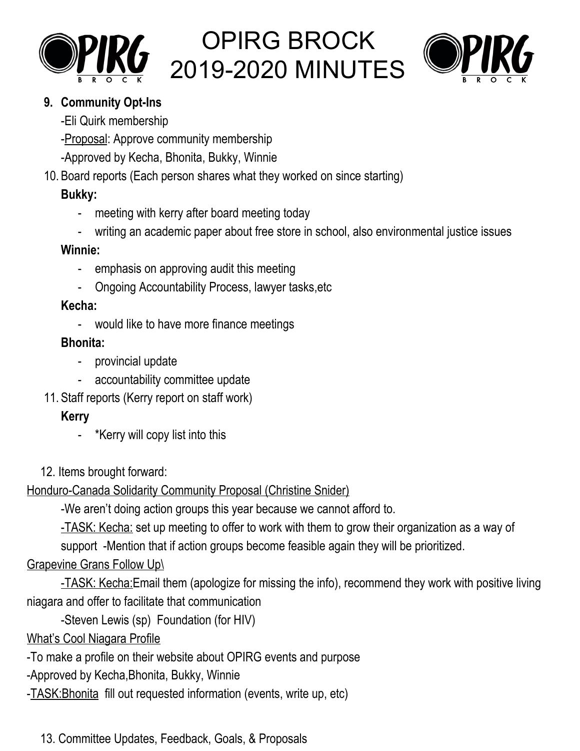



#### **9. Community Opt-Ins**

-Eli Quirk membership

-Proposal: Approve community membership

-Approved by Kecha, Bhonita, Bukky, Winnie

10. Board reports (Each person shares what they worked on since starting)

## **Bukky:**

- meeting with kerry after board meeting today
- writing an academic paper about free store in school, also environmental justice issues

### **Winnie:**

- emphasis on approving audit this meeting
- Ongoing Accountability Process, lawyer tasks,etc

## **Kecha:**

- would like to have more finance meetings

## **Bhonita:**

- provincial update
- accountability committee update
- 11. Staff reports (Kerry report on staff work)

## **Kerry**

- \*Kerry will copy list into this
- 12. Items brought forward:

Honduro-Canada Solidarity Community Proposal (Christine Snider)

-We aren't doing action groups this year because we cannot afford to.

-TASK: Kecha: set up meeting to offer to work with them to grow their organization as a way of

support -Mention that if action groups become feasible again they will be prioritized.

## Grapevine Grans Follow Up\

-TASK: Kecha:Email them (apologize for missing the info), recommend they work with positive living niagara and offer to facilitate that communication

-Steven Lewis (sp) Foundation (for HIV)

# What's Cool Niagara Profile

- -To make a profile on their website about OPIRG events and purpose
- -Approved by Kecha,Bhonita, Bukky, Winnie
- -TASK:Bhonita fill out requested information (events, write up, etc)

13. Committee Updates, Feedback, Goals, & Proposals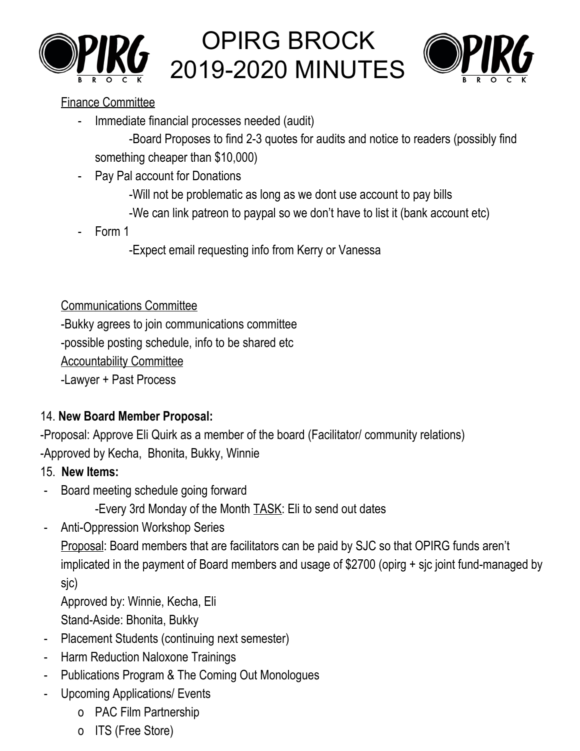



#### Finance Committee

Immediate financial processes needed (audit)

-Board Proposes to find 2-3 quotes for audits and notice to readers (possibly find something cheaper than \$10,000)

- Pay Pal account for Donations
	- -Will not be problematic as long as we dont use account to pay bills
	- -We can link patreon to paypal so we don't have to list it (bank account etc)
- Form 1
	- -Expect email requesting info from Kerry or Vanessa

### Communications Committee

-Bukky agrees to join communications committee -possible posting schedule, info to be shared etc Accountability Committee

-Lawyer + Past Process

## 14. **New Board Member Proposal:**

-Proposal: Approve Eli Quirk as a member of the board (Facilitator/ community relations) -Approved by Kecha, Bhonita, Bukky, Winnie

## 15. **New Items:**

- Board meeting schedule going forward
	- -Every 3rd Monday of the Month TASK: Eli to send out dates
- Anti-Oppression Workshop Series

Proposal: Board members that are facilitators can be paid by SJC so that OPIRG funds aren't implicated in the payment of Board members and usage of \$2700 (opirg + sjc joint fund-managed by sjc)

Approved by: Winnie, Kecha, Eli

- Stand-Aside: Bhonita, Bukky
- Placement Students (continuing next semester)
- Harm Reduction Naloxone Trainings
- Publications Program & The Coming Out Monologues
- Upcoming Applications/ Events
	- o PAC Film Partnership
	- o ITS (Free Store)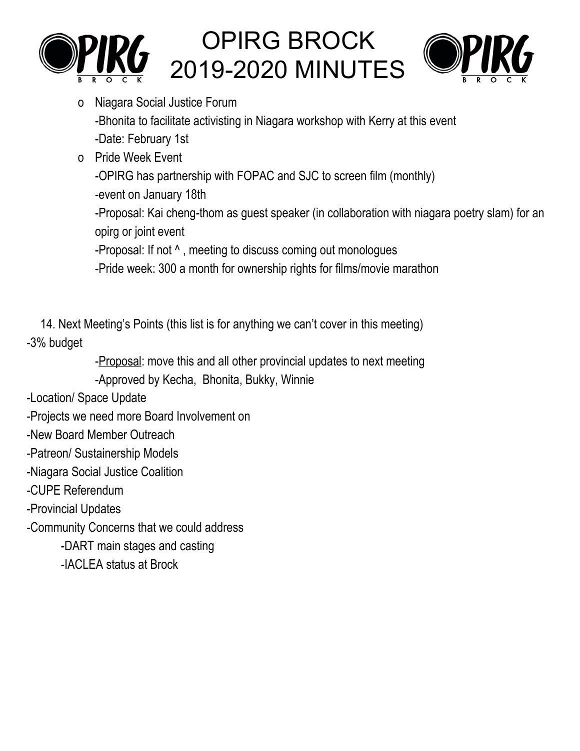



- o Niagara Social Justice Forum -Bhonita to facilitate activisting in Niagara workshop with Kerry at this event -Date: February 1st
- o Pride Week Event

-OPIRG has partnership with FOPAC and SJC to screen film (monthly)

-event on January 18th

-Proposal: Kai cheng-thom as guest speaker (in collaboration with niagara poetry slam) for an opirg or joint event

-Proposal: If not ^ , meeting to discuss coming out monologues

-Pride week: 300 a month for ownership rights for films/movie marathon

14. Next Meeting's Points (this list is for anything we can't cover in this meeting) -3% budget

-Proposal: move this and all other provincial updates to next meeting

-Approved by Kecha, Bhonita, Bukky, Winnie

-Location/ Space Update

-Projects we need more Board Involvement on

-New Board Member Outreach

-Patreon/ Sustainership Models

-Niagara Social Justice Coalition

-CUPE Referendum

-Provincial Updates

-Community Concerns that we could address

-DART main stages and casting

-IACLEA status at Brock